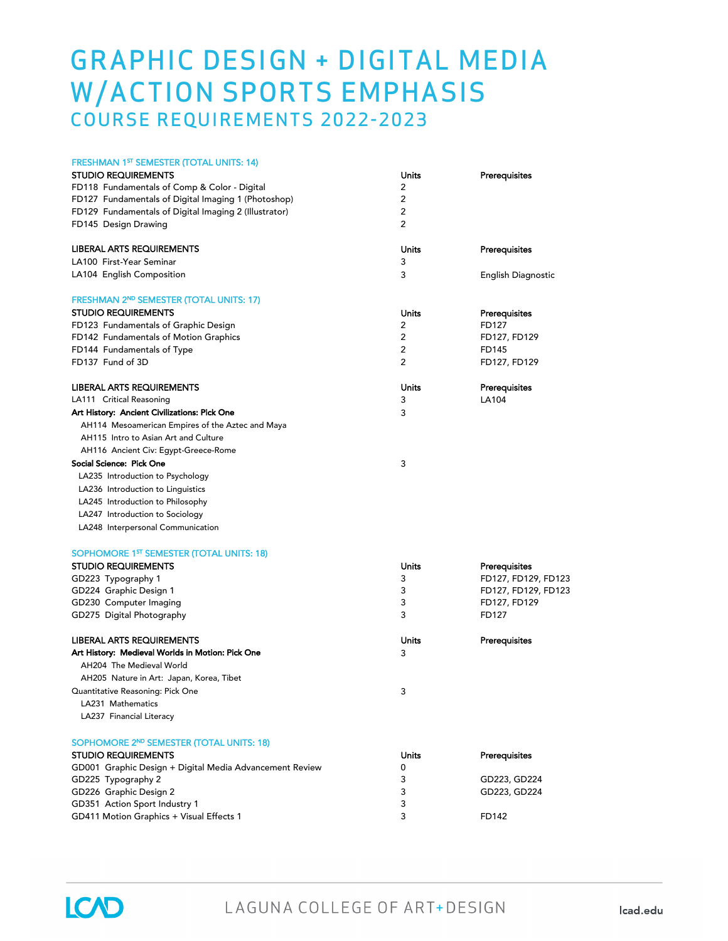## GRAPHIC DESIGN + DIGITAL MEDIA W/ACTION SPORTS EMPHASIS COURSE REQUIREMENTS 2022-2023

| <b>FRESHMAN 1ST SEMESTER (TOTAL UNITS: 14)</b>          |       |                     |
|---------------------------------------------------------|-------|---------------------|
| <b>STUDIO REQUIREMENTS</b>                              | Units | Prerequisites       |
| FD118 Fundamentals of Comp & Color - Digital            | 2     |                     |
| FD127 Fundamentals of Digital Imaging 1 (Photoshop)     | 2     |                     |
| FD129 Fundamentals of Digital Imaging 2 (Illustrator)   | 2     |                     |
| FD145 Design Drawing                                    | 2     |                     |
| LIBERAL ARTS REQUIREMENTS                               | Units | Prerequisites       |
| LA100 First-Year Seminar                                | 3     |                     |
| LA104 English Composition                               | 3     | English Diagnostic  |
| FRESHMAN 2ND SEMESTER (TOTAL UNITS: 17)                 |       |                     |
| <b>STUDIO REQUIREMENTS</b>                              | Units | Prerequisites       |
| FD123 Fundamentals of Graphic Design                    | 2     | FD127               |
| FD142 Fundamentals of Motion Graphics                   | 2     | FD127, FD129        |
| FD144 Fundamentals of Type                              | 2     | FD145               |
| FD137 Fund of 3D                                        | 2     | FD127, FD129        |
| LIBERAL ARTS REQUIREMENTS                               | Units | Prerequisites       |
| LA111 Critical Reasoning                                | 3     | LA104               |
| Art History: Ancient Civilizations: Pick One            | 3     |                     |
| AH114 Mesoamerican Empires of the Aztec and Maya        |       |                     |
| AH115 Intro to Asian Art and Culture                    |       |                     |
| AH116 Ancient Civ: Egypt-Greece-Rome                    |       |                     |
| Social Science: Pick One                                | 3     |                     |
| LA235 Introduction to Psychology                        |       |                     |
| LA236 Introduction to Linguistics                       |       |                     |
| LA245 Introduction to Philosophy                        |       |                     |
| LA247 Introduction to Sociology                         |       |                     |
| LA248 Interpersonal Communication                       |       |                     |
| SOPHOMORE 1 <sup>5T</sup> SEMESTER (TOTAL UNITS: 18)    |       |                     |
| <b>STUDIO REQUIREMENTS</b>                              | Units | Prerequisites       |
| GD223 Typography 1                                      | 3     | FD127, FD129, FD123 |
| GD224 Graphic Design 1                                  | 3     | FD127, FD129, FD123 |
| GD230 Computer Imaging                                  | 3     | FD127, FD129        |
| GD275 Digital Photography                               | 3     | FD127               |
| LIBERAL ARTS REQUIREMENTS                               | Units | Prerequisites       |
| Art History: Medieval Worlds in Motion: Pick One        | 3     |                     |
| AH204 The Medieval World                                |       |                     |
| AH205 Nature in Art: Japan, Korea, Tibet                |       |                     |
| Quantitative Reasoning: Pick One                        | 3     |                     |
| LA231 Mathematics                                       |       |                     |
| LA237 Financial Literacy                                |       |                     |
| SOPHOMORE 2ND SEMESTER (TOTAL UNITS: 18)                |       |                     |
| <b>STUDIO REQUIREMENTS</b>                              | Units | Prerequisites       |
| GD001 Graphic Design + Digital Media Advancement Review | 0     |                     |
| GD225 Typography 2                                      | 3     | GD223, GD224        |
| GD226 Graphic Design 2                                  | 3     | GD223, GD224        |
| GD351 Action Sport Industry 1                           | 3     |                     |
| GD411 Motion Graphics + Visual Effects 1                | 3     | FD142               |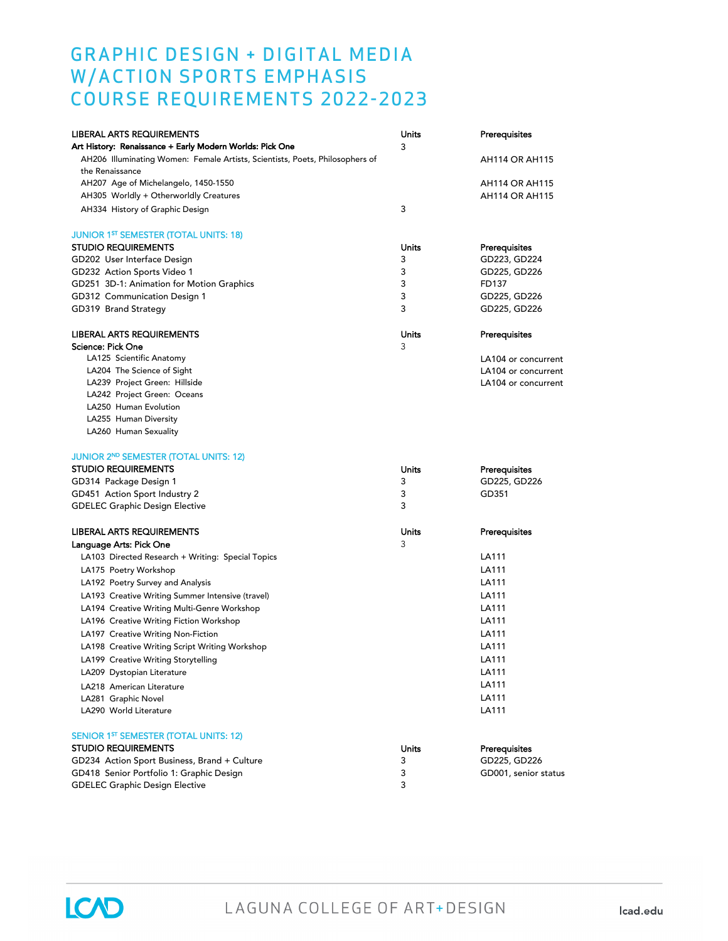## GRAPHIC DESIGN + DIGITAL MEDIA W/ACTION SPORTS EMPHASIS COURSE REQUIREMENTS 2022-2023

| <b>LIBERAL ARTS REQUIREMENTS</b><br>Art History: Renaissance + Early Modern Worlds: Pick One    | Units<br>3 | Prerequisites         |
|-------------------------------------------------------------------------------------------------|------------|-----------------------|
| AH206 Illuminating Women: Female Artists, Scientists, Poets, Philosophers of<br>the Renaissance |            | <b>AH114 OR AH115</b> |
| AH207 Age of Michelangelo, 1450-1550                                                            |            | <b>AH114 OR AH115</b> |
| AH305 Worldly + Otherworldly Creatures                                                          |            | <b>AH114 OR AH115</b> |
| AH334 History of Graphic Design                                                                 | 3          |                       |
| <b>JUNIOR 1<sup>ST</sup> SEMESTER (TOTAL UNITS: 18)</b>                                         |            |                       |
| <b>STUDIO REQUIREMENTS</b>                                                                      | Units      | Prerequisites         |
| GD202 User Interface Design                                                                     | 3          | GD223, GD224          |
| GD232 Action Sports Video 1                                                                     | 3          | GD225, GD226          |
| GD251 3D-1: Animation for Motion Graphics                                                       | 3          | FD137                 |
| GD312 Communication Design 1                                                                    | 3          | GD225, GD226          |
| GD319 Brand Strategy                                                                            | 3          | GD225, GD226          |
| <b>LIBERAL ARTS REQUIREMENTS</b>                                                                | Units      | Prerequisites         |
| Science: Pick One                                                                               | 3          |                       |
| LA125 Scientific Anatomy                                                                        |            | LA104 or concurrent   |
| LA204 The Science of Sight                                                                      |            | LA104 or concurrent   |
| LA239 Project Green: Hillside                                                                   |            | LA104 or concurrent   |
| LA242 Project Green: Oceans                                                                     |            |                       |
| LA250 Human Evolution                                                                           |            |                       |
| LA255 Human Diversity                                                                           |            |                       |
| LA260 Human Sexuality                                                                           |            |                       |
| <b>JUNIOR 2ND SEMESTER (TOTAL UNITS: 12)</b>                                                    |            |                       |
| <b>STUDIO REQUIREMENTS</b>                                                                      | Units      | Prerequisites         |
| GD314 Package Design 1                                                                          | 3          | GD225, GD226          |
| GD451 Action Sport Industry 2                                                                   | 3          | GD351                 |
| <b>GDELEC Graphic Design Elective</b>                                                           | 3          |                       |
| LIBERAL ARTS REQUIREMENTS                                                                       | Units      | Prerequisites         |
| Language Arts: Pick One                                                                         | 3          |                       |
| LA103 Directed Research + Writing: Special Topics                                               |            | LA111                 |
| LA175 Poetry Workshop                                                                           |            | LA111                 |
| LA192 Poetry Survey and Analysis                                                                |            | LA111                 |
| LA193 Creative Writing Summer Intensive (travel)                                                |            | LA111                 |
| LA194 Creative Writing Multi-Genre Workshop                                                     |            | LA111                 |
| LA196 Creative Writing Fiction Workshop                                                         |            | LA111                 |
| LA197 Creative Writing Non-Fiction                                                              |            | LA111                 |
| LA198 Creative Writing Script Writing Workshop                                                  |            | LA111                 |
| LA199 Creative Writing Storytelling                                                             |            | LA111                 |
| LA209 Dystopian Literature                                                                      |            | LA111                 |
| LA218 American Literature                                                                       |            | LA111                 |
| LA281 Graphic Novel                                                                             |            | LA111                 |
| LA290 World Literature                                                                          |            | LA111                 |
| SENIOR 1 <sup>ST</sup> SEMESTER (TOTAL UNITS: 12)                                               |            |                       |
| <b>STUDIO REQUIREMENTS</b>                                                                      | Units      | Prerequisites         |
| GD234 Action Sport Business, Brand + Culture                                                    | 3          | GD225, GD226          |
| GD418 Senior Portfolio 1: Graphic Design                                                        | 3          | GD001, senior status  |
| <b>GDELEC Graphic Design Elective</b>                                                           | 3          |                       |